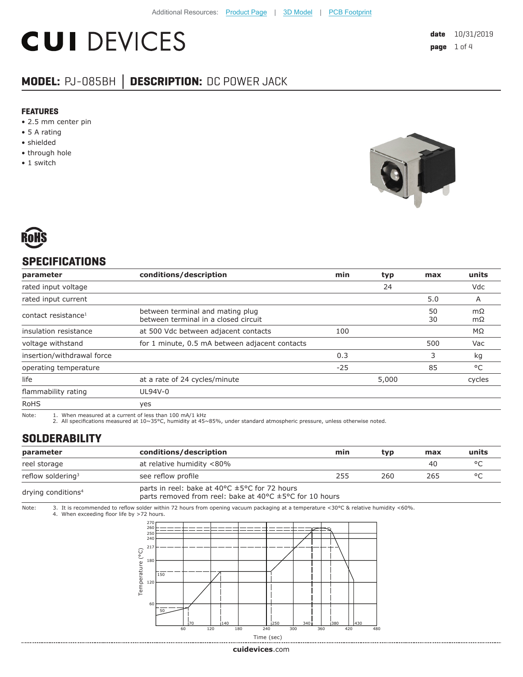# **CUI DEVICES**

# **MODEL:** PJ-085BH **│ DESCRIPTION:** DC POWER JACK

#### **FEATURES**

- 2.5 mm center pin
- 5 A rating
- shielded
- through hole
- 1 switch





# **SPECIFICATIONS**

| parameter                       | conditions/description                                                   | min   | typ   | max      | units        |
|---------------------------------|--------------------------------------------------------------------------|-------|-------|----------|--------------|
| rated input voltage             |                                                                          |       | 24    |          | Vdc          |
| rated input current             |                                                                          |       |       | 5.0      | A            |
| contact resistance <sup>1</sup> | between terminal and mating plug<br>between terminal in a closed circuit |       |       | 50<br>30 | mΩ<br>mΩ     |
| insulation resistance           | at 500 Vdc between adjacent contacts                                     | 100   |       |          | MΩ           |
| voltage withstand               | for 1 minute, 0.5 mA between adjacent contacts                           |       |       | 500      | Vac          |
| insertion/withdrawal force      |                                                                          | 0.3   |       | 3        | kg           |
| operating temperature           |                                                                          | $-25$ |       | 85       | $^{\circ}$ C |
| life                            | at a rate of 24 cycles/minute                                            |       | 5,000 |          | cycles       |
| flammability rating             | UL94V-0                                                                  |       |       |          |              |
| <b>RoHS</b>                     | yes                                                                      |       |       |          |              |

Note: 1. When measured at a current of less than 100 mA/1 kHz 2. All specifications measured at 10~35°C, humidity at 45~85%, under standard atmospheric pressure, unless otherwise noted.

## **SOLDERABILITY**

| parameter                      | conditions/description                                                                                                                                     | min | typ | max | units   |
|--------------------------------|------------------------------------------------------------------------------------------------------------------------------------------------------------|-----|-----|-----|---------|
| reel storage                   | at relative humidity <80%                                                                                                                                  |     |     | 40  | $\circ$ |
| reflow soldering <sup>3</sup>  | see reflow profile                                                                                                                                         | 255 | 260 | 265 | $\circ$ |
| drying conditions <sup>4</sup> | parts in reel: bake at 40 $\degree$ C $\pm$ 5 $\degree$ C for 72 hours<br>parts removed from reel: bake at 40 $\degree$ C $\pm$ 5 $\degree$ C for 10 hours |     |     |     |         |

Note: 3. It is recommended to reflow solder within 72 hours from opening vacuum packaging at a temperature <30°C & relative humidity <60%. 4. When exceeding floor life by >72 hours.



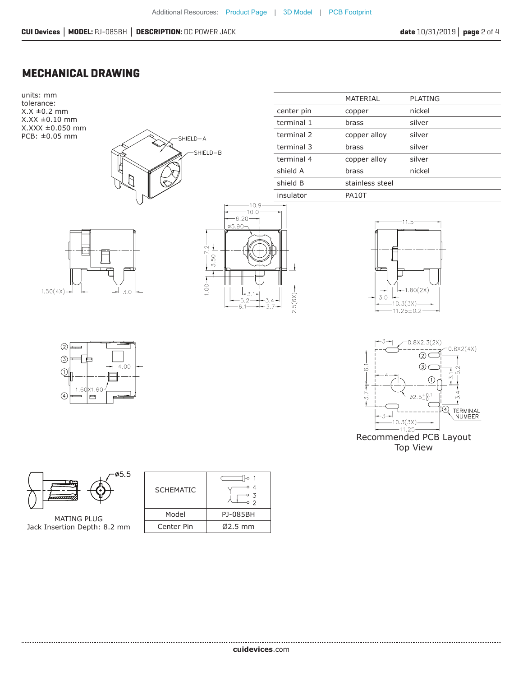### **MECHANICAL DRAWING**



Recommended PCB Layout Top View

 $-11.25$ 



MATING PLUG Jack Insertion Depth: 8.2 mm

| <b>SCHEMATIC</b> |           |  |  |
|------------------|-----------|--|--|
| Model            | PJ-085BH  |  |  |
| Center Pin       | $Ø2.5$ mm |  |  |
|                  |           |  |  |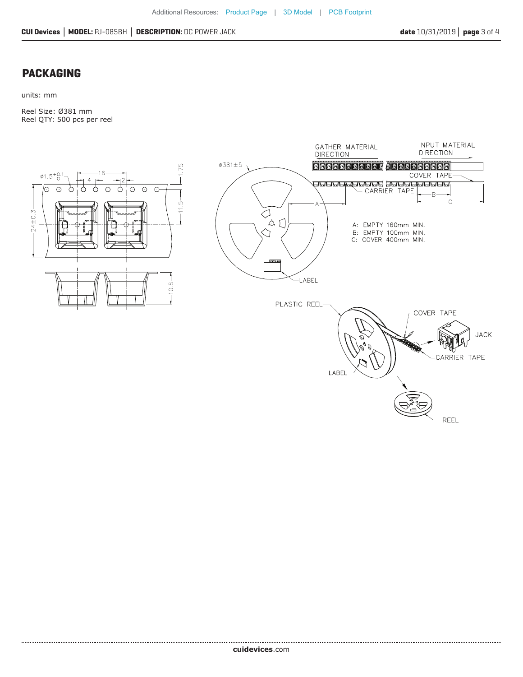REEL

#### **PACKAGING**

units: mm

Reel Size: Ø381 mm Reel QTY: 500 pcs per reel





................................... **cui[devices](https://jp.cuidevices.com/track?actionLabel=Datasheet-ClickThrough-HomePage&label=PJ-085BH.pdf&path=/)**.com